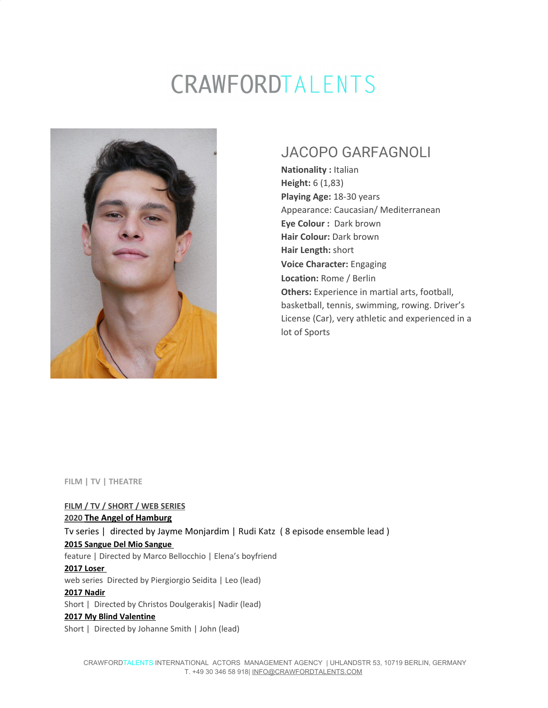# CRAWFORDTALENTS



### JACOPO GARFAGNOLI

**Nationality :** Italian **Height:** 6 (1,83) **Playing Age:** 18-30 years Appearance: Caucasian/ Mediterranean **Eye Colour :** Dark brown **Hair Colour:** Dark brown **Hair Length:** short **Voice Character:** Engaging **Location:** Rome / Berlin **Others:** Experience in martial arts, football, basketball, tennis, swimming, rowing. Driver's License (Car), very athletic and experienced in a lot of Sports

**FILM | TV | THEATRE**

**FILM / TV / SHORT / WEB SERIES 2020 [Th](https://pro.imdb.com/title/tt10343984/?ref_=nm_filmo_tvinprod_1)e Angel of Hamburg** Tv series | directed by Jayme Monjardim | Rudi Katz ( 8 episode ensemble lead ) **2015 Sangue Del Mio Sangue** feature | Directed by Marco Bellocchio | Elena's boyfriend **2017 Loser** web series Directed by Piergiorgio Seidita | Leo (lead) **2017 Nadir** Short | Directed by Christos Doulgerakis| Nadir (lead) **2017 My Blind Valentine** Short | Directed by Johanne Smith | John (lead)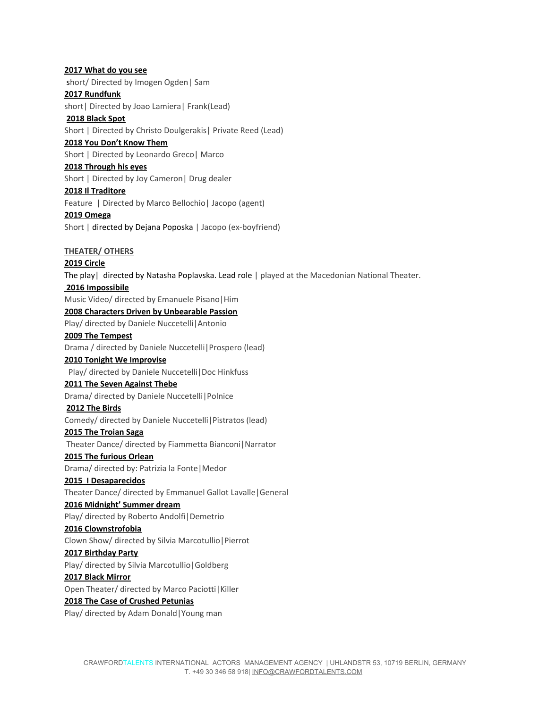**2017 What do you see** short/ Directed by Imogen Ogden| Sam **2017 Rundfunk** short| Directed by Joao Lamiera| Frank(Lead) **2018 Black Spot** Short | Directed by Christo Doulgerakis| Private Reed (Lead) **2018 You Don't Know Them** Short | Directed by Leonardo Greco| Marco **2018 Through his eyes** Short | Directed by Joy Cameron| Drug dealer **2018 Il Traditore** Feature | Directed by Marco Bellochio| Jacopo (agent) **2019 Omega** Short | directed by Dejana Poposka | Jacopo (ex-boyfriend) **THEATER/ OTHERS 2019 Circle** The play | directed by Natasha Poplavska. Lead role | played at the Macedonian National Theater. **2016 Impossibile** Music Video/ directed by Emanuele Pisano|Him **2008 Characters Driven by Unbearable Passion** Play/ directed by Daniele Nuccetelli|Antonio **2009 The Tempest** Drama / directed by Daniele Nuccetelli|Prospero (lead) **2010 Tonight We Improvise** Play/ directed by Daniele Nuccetelli|Doc Hinkfuss **2011 The Seven Against Thebe** Drama/ directed by Daniele Nuccetelli|Polnice **2012 The Birds** Comedy/ directed by Daniele Nuccetelli|Pistratos (lead) **2015 The Troian Saga** Theater Dance/ directed by Fiammetta Bianconi|Narrator **2015 The furious Orlean** Drama/ directed by: Patrizia la Fonte|Medor **2015 I Desaparecidos** Theater Dance/ directed by Emmanuel Gallot Lavalle|General **2016 Midnight' Summer dream** Play/ directed by Roberto Andolfi|Demetrio **2016 Clownstrofobia** Clown Show/ directed by Silvia Marcotullio|Pierrot **2017 Birthday Party** Play/ directed by Silvia Marcotullio|Goldberg **2017 Black Mirror** Open Theater/ directed by Marco Paciotti|Killer **2018 The Case of Crushed Petunias** Play/ directed by Adam Donald|Young man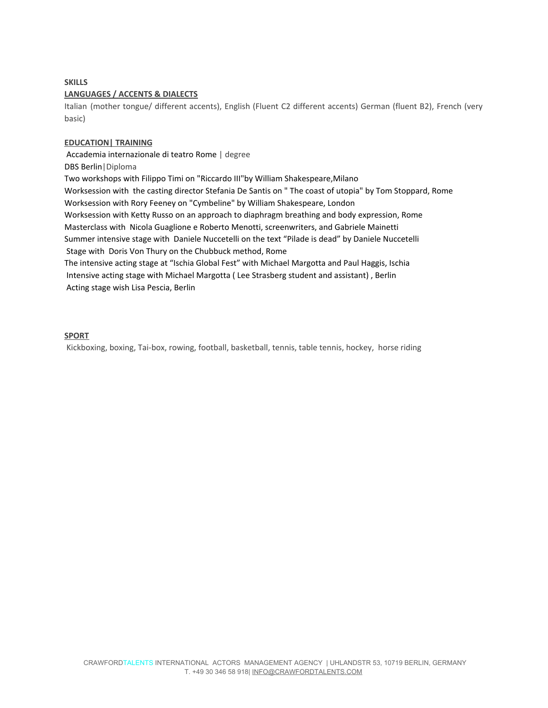#### **SKILLS**

#### **LANGUAGES / ACCENTS & DIALECTS**

Italian (mother tongue/ different accents), English (Fluent C2 different accents) German (fluent B2), French (very basic)

#### **EDUCATION| TRAINING**

Accademia internazionale di teatro Rome | degree DBS Berlin|Diploma Two workshops with Filippo Timi on "Riccardo III"by William Shakespeare,Milano

Worksession with the casting director Stefania De Santis on " The coast of utopia" by Tom Stoppard, Rome Worksession with Rory Feeney on "Cymbeline" by William Shakespeare, London Worksession with Ketty Russo on an approach to diaphragm breathing and body expression, Rome Masterclass with Nicola Guaglione e Roberto Menotti, screenwriters, and Gabriele Mainetti Summer intensive stage with Daniele Nuccetelli on the text "Pilade is dead" by Daniele Nuccetelli Stage with Doris Von Thury on the Chubbuck method, Rome The intensive acting stage at "Ischia Global Fest" with Michael Margotta and Paul Haggis, Ischia

Intensive acting stage with Michael Margotta ( Lee Strasberg student and assistant) , Berlin Acting stage wish Lisa Pescia, Berlin

#### **SPORT**

Kickboxing, boxing, Tai-box, rowing, football, basketball, tennis, table tennis, hockey, horse riding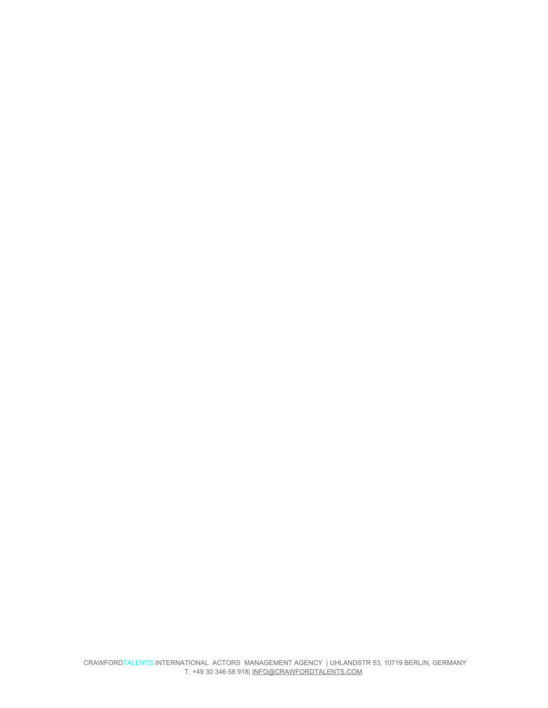CRAWFORDTALENTS INTERNATIONAL ACTORS MANAGEMENT AGENCY | UHLANDSTR 53, 10719 BERLIN, GERMANY T. +49 30 346 58 918| INFO@CRAWFORDTALENTS.COM